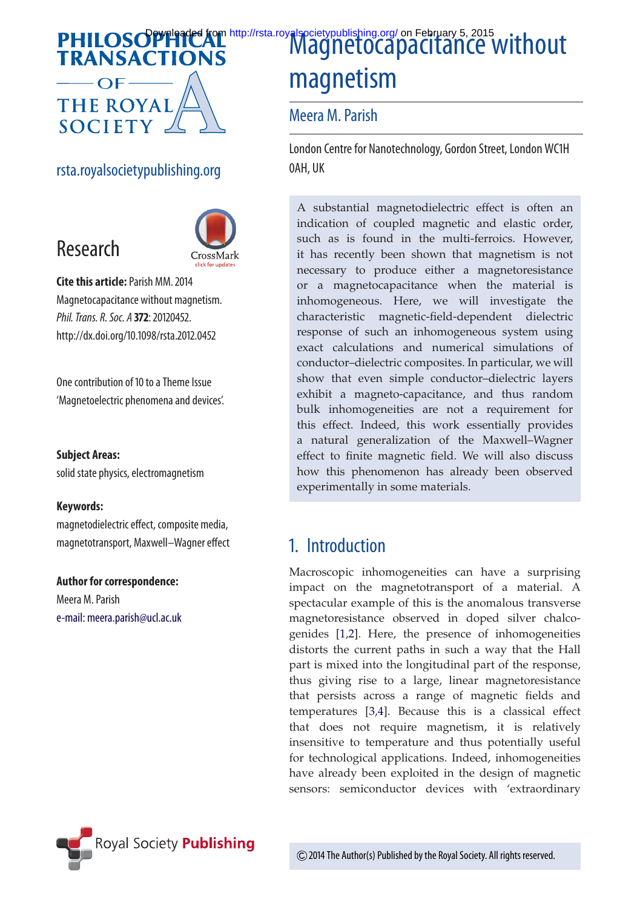# **TRANSACTIONS**  $\overline{\phantom{0}}$  OF-

## **THE ROYAL SOCIETY**

rsta.royalsocietypublishing.org





**Cite this article:**Parish MM. 2014 Magnetocapacitance without magnetism. *Phil. Trans. R. Soc. A* **372**: 20120452. http://dx.doi.org/10.1098/rsta.2012.0452

One contribution of 10 to a Theme Issue 'Magnetoelectric phenomena and devices'.

#### **Subject Areas:**

solid state physics, electromagnetism

#### **Keywords:**

magnetodielectric effect, composite media, magnetotransport, Maxwell–Wagner effect

#### **Author for correspondence:**

Meera M. Parish e-mail: meera.parish@ucl.ac.uk

## **Spyrigaded from http://rsta.royalsocietypublishing.org/ on February 5, 2015**<br>CTIONS magnetism

#### Meera M. Parish

London Centre for Nanotechnology, Gordon Street, London WC1H 0AH, UK

A substantial magnetodielectric effect is often an indication of coupled magnetic and elastic order, such as is found in the multi-ferroics. However, it has recently been shown that magnetism is not necessary to produce either a magnetoresistance or a magnetocapacitance when the material is inhomogeneous. Here, we will investigate the characteristic magnetic-field-dependent dielectric response of such an inhomogeneous system using exact calculations and numerical simulations of conductor–dielectric composites. In particular, we will show that even simple conductor–dielectric layers exhibit a magneto-capacitance, and thus random bulk inhomogeneities are not a requirement for this effect. Indeed, this work essentially provides a natural generalization of the Maxwell–Wagner effect to finite magnetic field. We will also discuss how this phenomenon has already been observed experimentally in some materials.

## 1. Introduction

Macroscopic inhomogeneities can have a surprising impact on the magnetotransport of a material. A spectacular example of this is the anomalous transverse magnetoresistance observed in doped silver chalcogenides [1,2]. Here, the presence of inhomogeneities distorts the current paths in such a way that the Hall part is mixed into the longitudinal part of the response, thus giving rise to a large, linear magnetoresistance that persists across a range of magnetic fields and temperatures [3,4]. Because this is a classical effect that does not require magnetism, it is relatively insensitive to temperature and thus potentially useful for technological applications. Indeed, inhomogeneities have already been exploited in the design of magnetic sensors: semiconductor devices with 'extraordinary

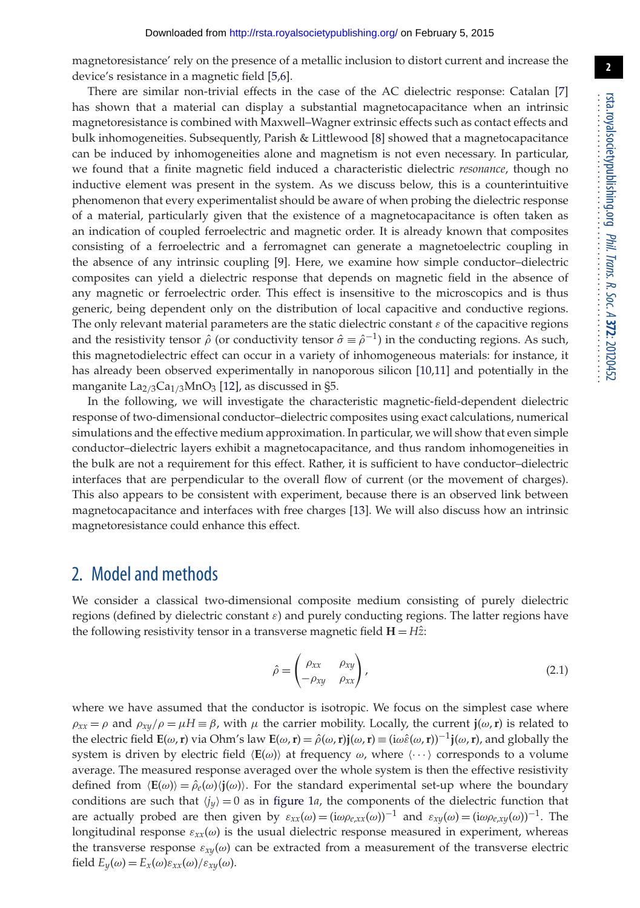magnetoresistance' rely on the presence of a metallic inclusion to distort current and increase the device's resistance in a magnetic field [5,6].

There are similar non-trivial effects in the case of the AC dielectric response: Catalan [7] has shown that a material can display a substantial magnetocapacitance when an intrinsic magnetoresistance is combined with Maxwell–Wagner extrinsic effects such as contact effects and bulk inhomogeneities. Subsequently, Parish & Littlewood [8] showed that a magnetocapacitance can be induced by inhomogeneities alone and magnetism is not even necessary. In particular, we found that a finite magnetic field induced a characteristic dielectric *resonance*, though no inductive element was present in the system. As we discuss below, this is a counterintuitive phenomenon that every experimentalist should be aware of when probing the dielectric response of a material, particularly given that the existence of a magnetocapacitance is often taken as an indication of coupled ferroelectric and magnetic order. It is already known that composites consisting of a ferroelectric and a ferromagnet can generate a magnetoelectric coupling in the absence of any intrinsic coupling [9]. Here, we examine how simple conductor–dielectric composites can yield a dielectric response that depends on magnetic field in the absence of any magnetic or ferroelectric order. This effect is insensitive to the microscopics and is thus generic, being dependent only on the distribution of local capacitive and conductive regions. The only relevant material parameters are the static dielectric constant  $\varepsilon$  of the capacitive regions and the resistivity tensor  $\hat{\rho}$  (or conductivity tensor  $\hat{\sigma} \equiv \hat{\rho}^{-1}$ ) in the conducting regions. As such, this magnetodielectric effect can occur in a variety of inhomogeneous materials: for instance, it has already been observed experimentally in nanoporous silicon [10,11] and potentially in the manganite  $\text{La}_{2/3}\text{Ca}_{1/3}\text{MnO}_3$  [12], as discussed in §5.

In the following, we will investigate the characteristic magnetic-field-dependent dielectric response of two-dimensional conductor–dielectric composites using exact calculations, numerical simulations and the effective medium approximation. In particular, we will show that even simple conductor–dielectric layers exhibit a magnetocapacitance, and thus random inhomogeneities in the bulk are not a requirement for this effect. Rather, it is sufficient to have conductor–dielectric interfaces that are perpendicular to the overall flow of current (or the movement of charges). This also appears to be consistent with experiment, because there is an observed link between magnetocapacitance and interfaces with free charges [13]. We will also discuss how an intrinsic magnetoresistance could enhance this effect.

## 2. Model and methods

We consider a classical two-dimensional composite medium consisting of purely dielectric regions (defined by dielectric constant  $\varepsilon$ ) and purely conducting regions. The latter regions have the following resistivity tensor in a transverse magnetic field  $H = H\hat{z}$ :

$$
\hat{\rho} = \begin{pmatrix} \rho_{xx} & \rho_{xy} \\ -\rho_{xy} & \rho_{xx} \end{pmatrix},
$$
\n(2.1)

where we have assumed that the conductor is isotropic. We focus on the simplest case where  $\rho_{xx} = \rho$  and  $\rho_{xy}/\rho = \mu H \equiv \beta$ , with  $\mu$  the carrier mobility. Locally, the current **j**( $\omega$ ,**r**) is related to the electric field **E**(ω, **r**) via Ohm's law **E**(ω, **r**) =  $\hat{\rho}$ (ω, **r**) $\mathbf{i}$ (ω, **r**) =  $(\text{i}\omega \hat{\epsilon}(\omega, \mathbf{r}))^{-1}\mathbf{i}(\omega, \mathbf{r})$ , and globally the system is driven by electric field  $\langle E(\omega) \rangle$  at frequency  $\omega$ , where  $\langle \cdots \rangle$  corresponds to a volume average. The measured response averaged over the whole system is then the effective resistivity defined from  $\langle E(\omega)\rangle = \hat{\rho}_e(\omega)\langle j(\omega)\rangle$ . For the standard experimental set-up where the boundary conditions are such that  $\langle j_y \rangle = 0$  as in figure 1*a*, the components of the dielectric function that are actually probed are then given by  $\varepsilon_{xx}(\omega) = (i\omega\rho_{e,xx}(\omega))^{-1}$  and  $\varepsilon_{xy}(\omega) = (i\omega\rho_{e,xy}(\omega))^{-1}$ . The longitudinal response  $\varepsilon_{xx}(\omega)$  is the usual dielectric response measured in experiment, whereas the transverse response  $\varepsilon_{x|y}(\omega)$  can be extracted from a measurement of the transverse electric  $\text{field } E_y(\omega) = E_x(\omega) \varepsilon_{xx}(\omega) / \varepsilon_{xy}(\omega).$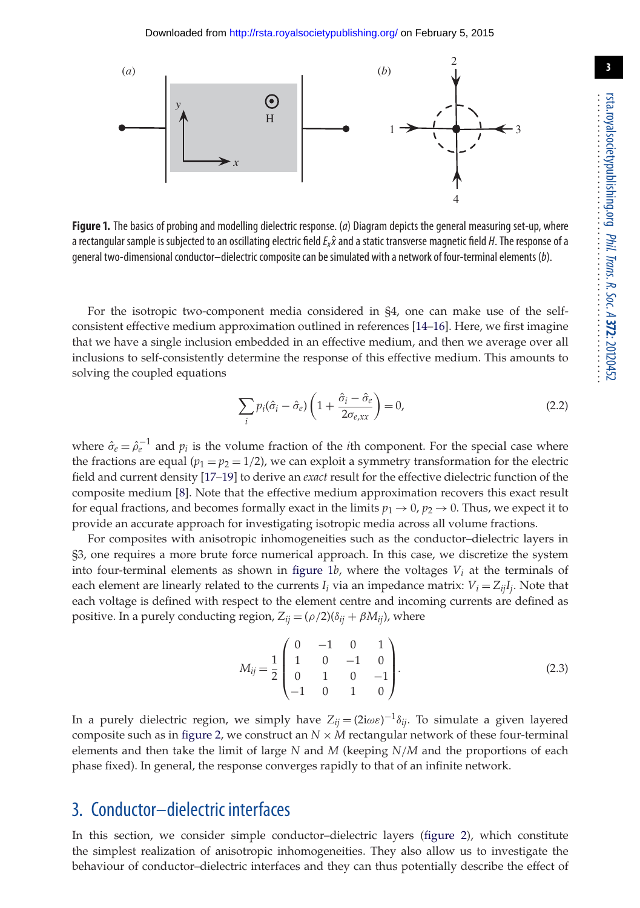

**Figure 1.** The basics of probing and modelling dielectric response. (*a*) Diagram depicts the general measuring set-up, where a rectangular sample is subjected to an oscillating electric field  $E_x\hat{x}$  and a static transverse magnetic field *H*. The response of a general two-dimensional conductor–dielectric composite can be simulated with a network of four-terminal elements (*b*).

For the isotropic two-component media considered in §4, one can make use of the selfconsistent effective medium approximation outlined in references [14–16]. Here, we first imagine that we have a single inclusion embedded in an effective medium, and then we average over all inclusions to self-consistently determine the response of this effective medium. This amounts to solving the coupled equations

$$
\sum_{i} p_i(\hat{\sigma}_i - \hat{\sigma}_e) \left( 1 + \frac{\hat{\sigma}_i - \hat{\sigma}_e}{2\sigma_{e,xx}} \right) = 0,
$$
\n(2.2)

where  $\hat{\sigma}_e = \hat{\rho}_e^{-1}$  and  $p_i$  is the volume fraction of the *i*th component. For the special case where the fractions are equal  $(p_1 = p_2 = 1/2)$ , we can exploit a symmetry transformation for the electric field and current density [17–19] to derive an *exact* result for the effective dielectric function of the composite medium [8]. Note that the effective medium approximation recovers this exact result for equal fractions, and becomes formally exact in the limits  $p_1 \rightarrow 0$ ,  $p_2 \rightarrow 0$ . Thus, we expect it to provide an accurate approach for investigating isotropic media across all volume fractions.

For composites with anisotropic inhomogeneities such as the conductor–dielectric layers in §3, one requires a more brute force numerical approach. In this case, we discretize the system into four-terminal elements as shown in figure 1*b*, where the voltages *Vi* at the terminals of each element are linearly related to the currents  $I_i$  via an impedance matrix:  $V_i = Z_{ij}I_j$ . Note that each voltage is defined with respect to the element centre and incoming currents are defined as positive. In a purely conducting region,  $Z_{ij} = (\rho/2)(\delta_{ij} + \beta M_{ij})$ , where

$$
M_{ij} = \frac{1}{2} \begin{pmatrix} 0 & -1 & 0 & 1 \\ 1 & 0 & -1 & 0 \\ 0 & 1 & 0 & -1 \\ -1 & 0 & 1 & 0 \end{pmatrix}.
$$
 (2.3)

In a purely dielectric region, we simply have  $Z_{ij} = (2i\omega\varepsilon)^{-1}\delta_{ij}$ . To simulate a given layered composite such as in figure 2, we construct an  $N \times M$  rectangular network of these four-terminal elements and then take the limit of large *N* and *M* (keeping *N*/*M* and the proportions of each phase fixed). In general, the response converges rapidly to that of an infinite network.

#### 3. Conductor–dielectric interfaces

In this section, we consider simple conductor–dielectric layers (figure 2), which constitute the simplest realization of anisotropic inhomogeneities. They also allow us to investigate the behaviour of conductor–dielectric interfaces and they can thus potentially describe the effect of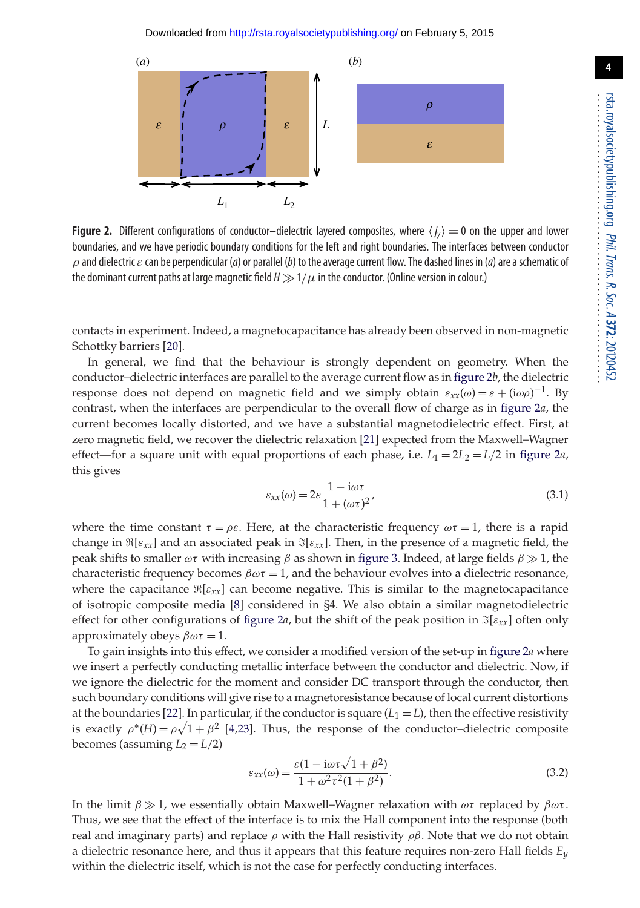

**Figure 2.** Different configurations of conductor–dielectric layered composites, where  $\langle j_y \rangle = 0$  on the upper and lower boundaries, and we have periodic boundary conditions for the left and right boundaries. The interfaces between conductor  $\rho$  and dielectric  $\varepsilon$  can be perpendicular (*a*) or parallel (*b*) to the average current flow. The dashed lines in (*a*) are a schematic of the dominant current paths at large magnetic field  $H \gg 1/\mu$  in the conductor. (Online version in colour.)

contacts in experiment. Indeed, a magnetocapacitance has already been observed in non-magnetic Schottky barriers [20].

In general, we find that the behaviour is strongly dependent on geometry. When the conductor–dielectric interfaces are parallel to the average current flow as in figure 2*b*, the dielectric response does not depend on magnetic field and we simply obtain  $\varepsilon_{xx}(\omega) = \varepsilon + (i\omega\rho)^{-1}$ . By contrast, when the interfaces are perpendicular to the overall flow of charge as in figure 2*a*, the current becomes locally distorted, and we have a substantial magnetodielectric effect. First, at zero magnetic field, we recover the dielectric relaxation [21] expected from the Maxwell–Wagner effect—for a square unit with equal proportions of each phase, i.e.  $L_1 = 2L_2 = L/2$  in figure 2*a*, this gives

$$
\varepsilon_{xx}(\omega) = 2\varepsilon \frac{1 - i\omega \tau}{1 + (\omega \tau)^2},\tag{3.1}
$$

where the time constant  $\tau = \rho \varepsilon$ . Here, at the characteristic frequency  $\omega \tau = 1$ , there is a rapid change in  $\Re[\varepsilon_{xx}]$  and an associated peak in  $\Im[\varepsilon_{xx}]$ . Then, in the presence of a magnetic field, the peak shifts to smaller  $\omega\tau$  with increasing  $\beta$  as shown in figure 3. Indeed, at large fields  $\beta \gg 1$ , the characteristic frequency becomes  $\beta \omega \tau = 1$ , and the behaviour evolves into a dielectric resonance, where the capacitance  $\Re[\varepsilon_{xx}]$  can become negative. This is similar to the magnetocapacitance of isotropic composite media [8] considered in §4. We also obtain a similar magnetodielectric effect for other configurations of figure 2*a*, but the shift of the peak position in  $\mathfrak{I}[\varepsilon_{xx}]$  often only approximately obeys  $\beta \omega \tau = 1$ .

To gain insights into this effect, we consider a modified version of the set-up in figure 2*a* where we insert a perfectly conducting metallic interface between the conductor and dielectric. Now, if we ignore the dielectric for the moment and consider DC transport through the conductor, then such boundary conditions will give rise to a magnetoresistance because of local current distortions at the boundaries [22]. In particular, if the conductor is square  $(L_1 = L)$ , then the effective resistivity is exactly  $\rho^*(H) = \rho \sqrt{1 + \beta^2}$  [4,23]. Thus, the response of the conductor-dielectric composite becomes (assuming  $L_2 = L/2$ )

$$
\varepsilon_{xx}(\omega) = \frac{\varepsilon (1 - i\omega \tau \sqrt{1 + \beta^2})}{1 + \omega^2 \tau^2 (1 + \beta^2)}.
$$
\n(3.2)

In the limit  $β \gg 1$ , we essentially obtain Maxwell–Wagner relaxation with  $ωτ$  replaced by  $βωτ$ . Thus, we see that the effect of the interface is to mix the Hall component into the response (both real and imaginary parts) and replace  $\rho$  with the Hall resistivity  $\rho\beta$ . Note that we do not obtain a dielectric resonance here, and thus it appears that this feature requires non-zero Hall fields *Ey* within the dielectric itself, which is not the case for perfectly conducting interfaces.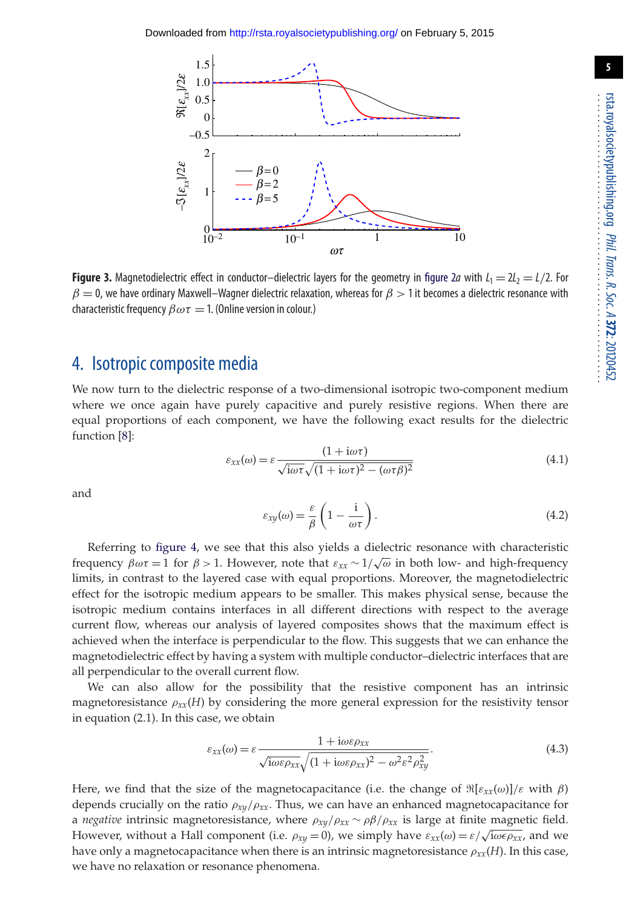

**Figure 3.** Magnetodielectric effect in conductor–dielectric layers for the geometry in figure 2*a* with  $L_1 = 2L_2 = L/2$ . For  $\beta=0$ , we have ordinary Maxwell–Wagner dielectric relaxation, whereas for  $\beta>1$  it becomes a dielectric resonance with characteristic frequency  $\beta \omega \tau = 1$ . (Online version in colour.)

#### 4. Isotropic composite media

We now turn to the dielectric response of a two-dimensional isotropic two-component medium where we once again have purely capacitive and purely resistive regions. When there are equal proportions of each component, we have the following exact results for the dielectric function [8]:

$$
\varepsilon_{xx}(\omega) = \varepsilon \frac{(1 + i\omega\tau)}{\sqrt{i\omega\tau}\sqrt{(1 + i\omega\tau)^2 - (\omega\tau\beta)^2}}
$$
(4.1)

and

$$
\varepsilon_{xy}(\omega) = \frac{\varepsilon}{\beta} \left( 1 - \frac{i}{\omega \tau} \right). \tag{4.2}
$$

Referring to figure 4, we see that this also yields a dielectric resonance with characteristic frequency  $\beta \omega \tau = 1$  for  $\beta > 1$ . However, note that  $\varepsilon_{xx} \sim 1/\sqrt{\omega}$  in both low- and high-frequency limits, in contrast to the layered case with equal proportions. Moreover, the magnetodielectric effect for the isotropic medium appears to be smaller. This makes physical sense, because the isotropic medium contains interfaces in all different directions with respect to the average current flow, whereas our analysis of layered composites shows that the maximum effect is achieved when the interface is perpendicular to the flow. This suggests that we can enhance the magnetodielectric effect by having a system with multiple conductor–dielectric interfaces that are all perpendicular to the overall current flow.

We can also allow for the possibility that the resistive component has an intrinsic magnetoresistance  $\rho_{xx}(H)$  by considering the more general expression for the resistivity tensor in equation (2.1). In this case, we obtain

$$
\varepsilon_{xx}(\omega) = \varepsilon \frac{1 + i\omega \varepsilon \rho_{xx}}{\sqrt{i\omega \varepsilon \rho_{xx}} \sqrt{(1 + i\omega \varepsilon \rho_{xx})^2 - \omega^2 \varepsilon^2 \rho_{xy}^2}}.
$$
(4.3)

Here, we find that the size of the magnetocapacitance (i.e. the change of  $\Re[\varepsilon_{xx}(\omega)]/\varepsilon$  with  $\beta$ ) depends crucially on the ratio ρ*xy*/ρ*xx*. Thus, we can have an enhanced magnetocapacitance for a *negative* intrinsic magnetoresistance, where  $\rho_{xy}/\rho_{xx} \sim \rho \beta / \rho_{xx}$  is large at finite magnetic field. However, without a Hall component (i.e.  $\rho_{xy} = 0$ ), we simply have  $\varepsilon_{xx}(\omega) = \varepsilon / \sqrt{\omega \epsilon \rho_{xx}}$ , and we have only a magnetocapacitance when there is an intrinsic magnetoresistance  $\rho_{xx}(H)$ . In this case, we have no relaxation or resonance phenomena.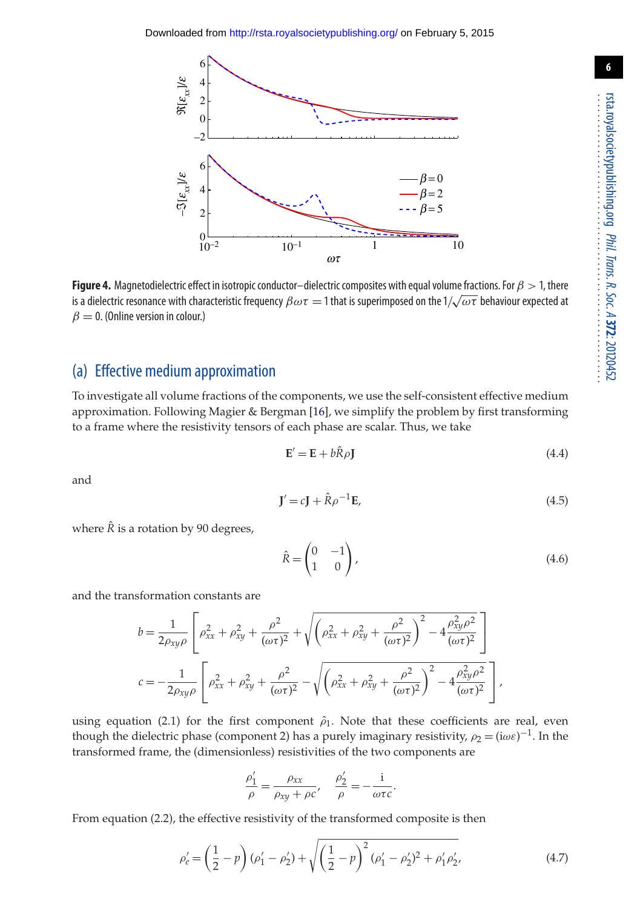

**Figure 4.** Magnetodielectric effect in isotropic conductor–dielectric composites with equal volume fractions. For  $\beta > 1$ , there is a dielectric resonance with characteristic frequency  $\beta\omega\tau=$  1 that is superimposed on the  $1/\sqrt{\omega\tau}$  behaviour expected at  $\beta = 0$ . (Online version in colour.)

#### (a) Effective medium approximation

To investigate all volume fractions of the components, we use the self-consistent effective medium approximation. Following Magier & Bergman [16], we simplify the problem by first transforming to a frame where the resistivity tensors of each phase are scalar. Thus, we take

$$
\mathbf{E}' = \mathbf{E} + b\hat{\mathbf{R}}\rho\mathbf{J} \tag{4.4}
$$

and

$$
\mathbf{J}' = c\mathbf{J} + \hat{\mathbf{R}}\rho^{-1}\mathbf{E},\tag{4.5}
$$

where  $\hat{R}$  is a rotation by 90 degrees,

$$
\hat{R} = \begin{pmatrix} 0 & -1 \\ 1 & 0 \end{pmatrix},\tag{4.6}
$$

and the transformation constants are

$$
b = \frac{1}{2\rho_{xy}\rho} \left[ \rho_{xx}^2 + \rho_{xy}^2 + \frac{\rho^2}{(\omega \tau)^2} + \sqrt{\left(\rho_{xx}^2 + \rho_{xy}^2 + \frac{\rho^2}{(\omega \tau)^2}\right)^2 - 4\frac{\rho_{xy}^2 \rho^2}{(\omega \tau)^2}} \right]
$$
  

$$
c = -\frac{1}{2\rho_{xy}\rho} \left[ \rho_{xx}^2 + \rho_{xy}^2 + \frac{\rho^2}{(\omega \tau)^2} - \sqrt{\left(\rho_{xx}^2 + \rho_{xy}^2 + \frac{\rho^2}{(\omega \tau)^2}\right)^2 - 4\frac{\rho_{xy}^2 \rho^2}{(\omega \tau)^2}} \right],
$$

using equation (2.1) for the first component  $\hat{\rho}_1$ . Note that these coefficients are real, even though the dielectric phase (component 2) has a purely imaginary resistivity,  $\rho_2 = (i\omega\varepsilon)^{-1}$ . In the transformed frame, the (dimensionless) resistivities of the two components are

$$
\frac{\rho_1'}{\rho} = \frac{\rho_{xx}}{\rho_{xy} + \rho c'}, \quad \frac{\rho_2'}{\rho} = -\frac{i}{\omega \tau c}
$$

From equation (2.2), the effective resistivity of the transformed composite is then

$$
\rho'_e = \left(\frac{1}{2} - p\right)(\rho'_1 - \rho'_2) + \sqrt{\left(\frac{1}{2} - p\right)^2(\rho'_1 - \rho'_2)^2 + \rho'_1\rho'_2},\tag{4.7}
$$

.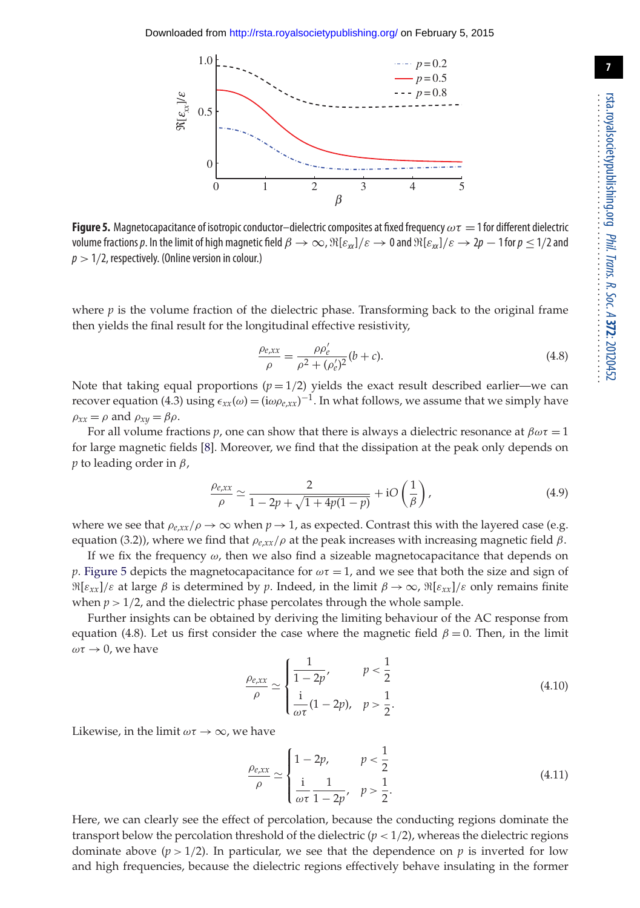

**Figure 5.** Magnetocapacitance of isotropic conductor–dielectric composites at fixed frequency  $\omega\tau = 1$  for different dielectric volume fractions p. In the limit of high magnetic field  $\beta \to \infty$ ,  $\Re[\varepsilon_{xx}]/\varepsilon \to 0$  and  $\Re[\varepsilon_{xx}]/\varepsilon \to 2p-1$  for  $p \le 1/2$  and  $p > 1/2$ , respectively. (Online version in colour.)

where *p* is the volume fraction of the dielectric phase. Transforming back to the original frame then yields the final result for the longitudinal effective resistivity,

$$
\frac{\rho_{e,xx}}{\rho} = \frac{\rho \rho_e'}{\rho^2 + (\rho_e')^2} (b + c).
$$
\n(4.8)

Note that taking equal proportions  $(p=1/2)$  yields the exact result described earlier—we can recover equation (4.3) using  $\epsilon_{xx}(\omega) = (i\omega\rho_{e,xx})^{-1}$ . In what follows, we assume that we simply have  $\rho_{xx} = \rho$  and  $\rho_{xy} = \beta \rho$ .

For all volume fractions *p*, one can show that there is always a dielectric resonance at  $\beta \omega \tau = 1$ for large magnetic fields [8]. Moreover, we find that the dissipation at the peak only depends on *p* to leading order in  $\beta$ ,

$$
\frac{\rho_{e,xx}}{\rho} \simeq \frac{2}{1 - 2p + \sqrt{1 + 4p(1 - p)}} + iO\left(\frac{1}{\beta}\right),\tag{4.9}
$$

where we see that  $\rho_{e,xx}/\rho \to \infty$  when  $p \to 1$ , as expected. Contrast this with the layered case (e.g. equation (3.2)), where we find that  $ρ_{\ell,xx}/ρ$  at the peak increases with increasing magnetic field  $β$ .

If we fix the frequency  $\omega$ , then we also find a sizeable magnetocapacitance that depends on *p*. Figure 5 depicts the magnetocapacitance for  $\omega \tau = 1$ , and we see that both the size and sign of  $\Re[\varepsilon_{xx}]/\varepsilon$  at large  $\beta$  is determined by  $p$ . Indeed, in the limit  $\beta \to \infty$ ,  $\Re[\varepsilon_{xx}]/\varepsilon$  only remains finite when  $p > 1/2$ , and the dielectric phase percolates through the whole sample.

Further insights can be obtained by deriving the limiting behaviour of the AC response from equation (4.8). Let us first consider the case where the magnetic field  $\beta = 0$ . Then, in the limit  $\omega \tau \rightarrow 0$ , we have

$$
\frac{\rho_{e,xx}}{\rho} \simeq \begin{cases} \frac{1}{1 - 2p'} & p < \frac{1}{2} \\ \frac{1}{\omega \tau} (1 - 2p), & p > \frac{1}{2} \end{cases}
$$
(4.10)

Likewise, in the limit  $\omega \tau \to \infty$ , we have

$$
\frac{\rho_{e,xx}}{\rho} \simeq \begin{cases} 1 - 2p, & p < \frac{1}{2} \\ \frac{\mathrm{i}}{\omega \tau} \frac{1}{1 - 2p}, & p > \frac{1}{2} \end{cases} \tag{4.11}
$$

Here, we can clearly see the effect of percolation, because the conducting regions dominate the transport below the percolation threshold of the dielectric  $(p < 1/2)$ , whereas the dielectric regions dominate above  $(p > 1/2)$ . In particular, we see that the dependence on p is inverted for low and high frequencies, because the dielectric regions effectively behave insulating in the former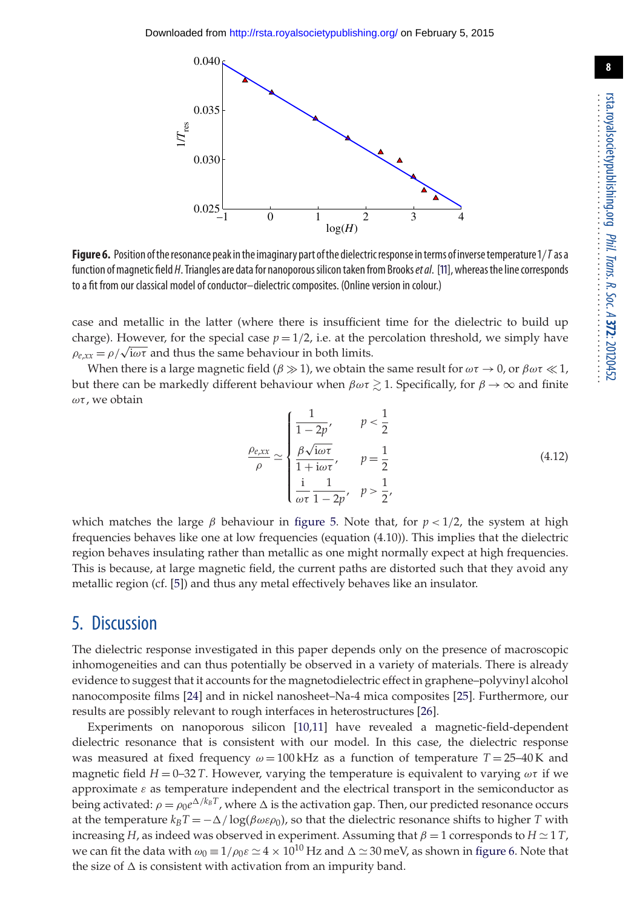

**Figure 6.** Position oftheresonance peak inthe imaginary part ofthe dielectricresponse interms of inversetemperature1/*T*as a function ofmagnetic field *H*. Triangles are data for nanoporoussilicontaken from Brooks*et al*. [11], whereasthe line corresponds to a fit from our classical model of conductor–dielectric composites. (Online version in colour.)

case and metallic in the latter (where there is insufficient time for the dielectric to build up charge). However, for the special case  $p = 1/2$ , i.e. at the percolation threshold, we simply have  $\rho_{e,xx} = \rho/\sqrt{\omega \tau}$  and thus the same behaviour in both limits.

When there is a large magnetic field  $(\beta \gg 1)$ , we obtain the same result for  $\omega \tau \to 0$ , or  $\beta \omega \tau \ll 1$ , but there can be markedly different behaviour when  $\beta\omega\tau \gtrsim 1.$  Specifically, for  $\beta\to\infty$  and finite  $ωτ$ , we obtain

$$
\frac{\rho_{e,xx}}{\rho} \simeq \begin{cases}\n\frac{1}{1 - 2p'}, & p < \frac{1}{2} \\
\frac{\beta \sqrt{i\omega \tau}}{1 + i\omega \tau'}, & p = \frac{1}{2} \\
\frac{i}{\omega \tau} \frac{1}{1 - 2p'}, & p > \frac{1}{2},\n\end{cases}
$$
\n(4.12)

which matches the large  $\beta$  behaviour in figure 5. Note that, for  $p < 1/2$ , the system at high frequencies behaves like one at low frequencies (equation (4.10)). This implies that the dielectric region behaves insulating rather than metallic as one might normally expect at high frequencies. This is because, at large magnetic field, the current paths are distorted such that they avoid any metallic region (cf. [5]) and thus any metal effectively behaves like an insulator.

#### 5. Discussion

The dielectric response investigated in this paper depends only on the presence of macroscopic inhomogeneities and can thus potentially be observed in a variety of materials. There is already evidence to suggest that it accounts for the magnetodielectric effect in graphene–polyvinyl alcohol nanocomposite films [24] and in nickel nanosheet–Na-4 mica composites [25]. Furthermore, our results are possibly relevant to rough interfaces in heterostructures [26].

Experiments on nanoporous silicon [10,11] have revealed a magnetic-field-dependent dielectric resonance that is consistent with our model. In this case, the dielectric response was measured at fixed frequency  $\omega = 100 \text{ kHz}$  as a function of temperature  $T = 25-40 \text{ K}$  and magnetic field  $H = 0-32$  *T*. However, varying the temperature is equivalent to varying  $\omega\tau$  if we approximate  $\varepsilon$  as temperature independent and the electrical transport in the semiconductor as being activated:  $\rho = \rho_0 e^{\Delta/k_B T}$ , where  $\Delta$  is the activation gap. Then, our predicted resonance occurs at the temperature  $k_B T = -\Delta/\log(\beta \omega \varepsilon \rho_0)$ , so that the dielectric resonance shifts to higher *T* with increasing *H*, as indeed was observed in experiment. Assuming that  $\beta = 1$  corresponds to  $H \simeq 1$  *T*, we can fit the data with  $\omega_0 = 1/\rho_0 \varepsilon \simeq 4 \times 10^{10}$  Hz and  $\Delta \simeq 30$  meV, as shown in figure 6. Note that the size of  $\Delta$  is consistent with activation from an impurity band.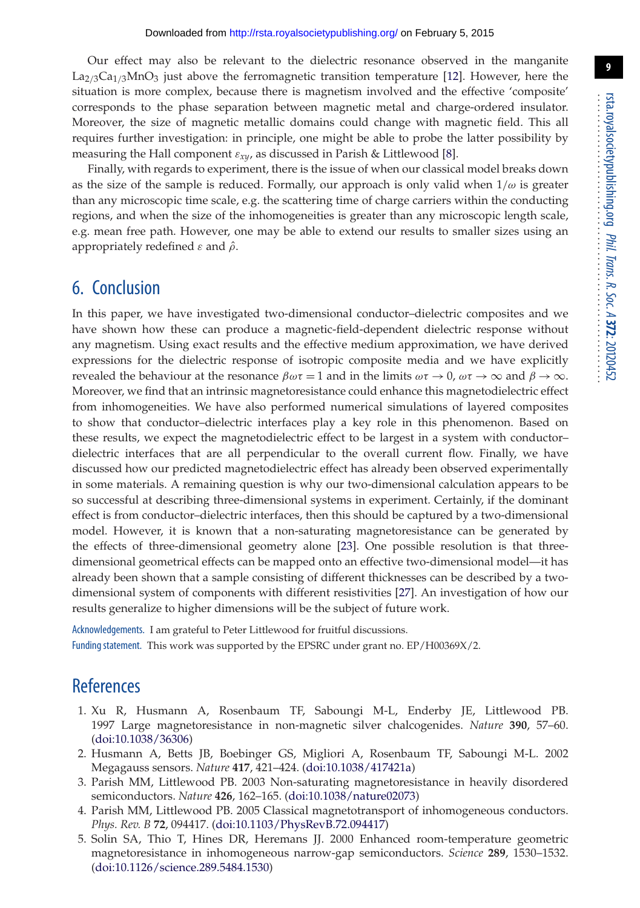Our effect may also be relevant to the dielectric resonance observed in the manganite  $\text{La}_{2/3}\text{Ca}_{1/3}\text{MnO}_3$  just above the ferromagnetic transition temperature [12]. However, here the situation is more complex, because there is magnetism involved and the effective 'composite' corresponds to the phase separation between magnetic metal and charge-ordered insulator. Moreover, the size of magnetic metallic domains could change with magnetic field. This all requires further investigation: in principle, one might be able to probe the latter possibility by measuring the Hall component ε*xy*, as discussed in Parish & Littlewood [8].

Finally, with regards to experiment, there is the issue of when our classical model breaks down as the size of the sample is reduced. Formally, our approach is only valid when  $1/\omega$  is greater than any microscopic time scale, e.g. the scattering time of charge carriers within the conducting regions, and when the size of the inhomogeneities is greater than any microscopic length scale, e.g. mean free path. However, one may be able to extend our results to smaller sizes using an appropriately redefined  $\varepsilon$  and  $\hat{\rho}$ .

### 6. Conclusion

In this paper, we have investigated two-dimensional conductor–dielectric composites and we have shown how these can produce a magnetic-field-dependent dielectric response without any magnetism. Using exact results and the effective medium approximation, we have derived expressions for the dielectric response of isotropic composite media and we have explicitly revealed the behaviour at the resonance  $\beta \omega \tau = 1$  and in the limits  $\omega \tau \to 0$ ,  $\omega \tau \to \infty$  and  $\beta \to \infty$ . Moreover, we find that an intrinsic magnetoresistance could enhance this magnetodielectric effect from inhomogeneities. We have also performed numerical simulations of layered composites to show that conductor–dielectric interfaces play a key role in this phenomenon. Based on these results, we expect the magnetodielectric effect to be largest in a system with conductor– dielectric interfaces that are all perpendicular to the overall current flow. Finally, we have discussed how our predicted magnetodielectric effect has already been observed experimentally in some materials. A remaining question is why our two-dimensional calculation appears to be so successful at describing three-dimensional systems in experiment. Certainly, if the dominant effect is from conductor–dielectric interfaces, then this should be captured by a two-dimensional model. However, it is known that a non-saturating magnetoresistance can be generated by the effects of three-dimensional geometry alone [23]. One possible resolution is that threedimensional geometrical effects can be mapped onto an effective two-dimensional model—it has already been shown that a sample consisting of different thicknesses can be described by a twodimensional system of components with different resistivities [27]. An investigation of how our results generalize to higher dimensions will be the subject of future work.

Acknowledgements. I am grateful to Peter Littlewood for fruitful discussions. Funding statement. This work was supported by the EPSRC under grant no. EP/H00369X/2.

### **References**

- 1. Xu R, Husmann A, Rosenbaum TF, Saboungi M-L, Enderby JE, Littlewood PB. 1997 Large magnetoresistance in non-magnetic silver chalcogenides. *Nature* **390**, 57–60. (doi:10.1038/36306)
- 2. Husmann A, Betts JB, Boebinger GS, Migliori A, Rosenbaum TF, Saboungi M-L. 2002 Megagauss sensors. *Nature* **417**, 421–424. (doi:10.1038/417421a)
- 3. Parish MM, Littlewood PB. 2003 Non-saturating magnetoresistance in heavily disordered semiconductors. *Nature* **426**, 162–165. (doi:10.1038/nature02073)
- 4. Parish MM, Littlewood PB. 2005 Classical magnetotransport of inhomogeneous conductors. *Phys. Rev. B* **72**, 094417. (doi:10.1103/PhysRevB.72.094417)
- 5. Solin SA, Thio T, Hines DR, Heremans JJ. 2000 Enhanced room-temperature geometric magnetoresistance in inhomogeneous narrow-gap semiconductors. *Science* **289**, 1530–1532. (doi:10.1126/science.289.5484.1530)